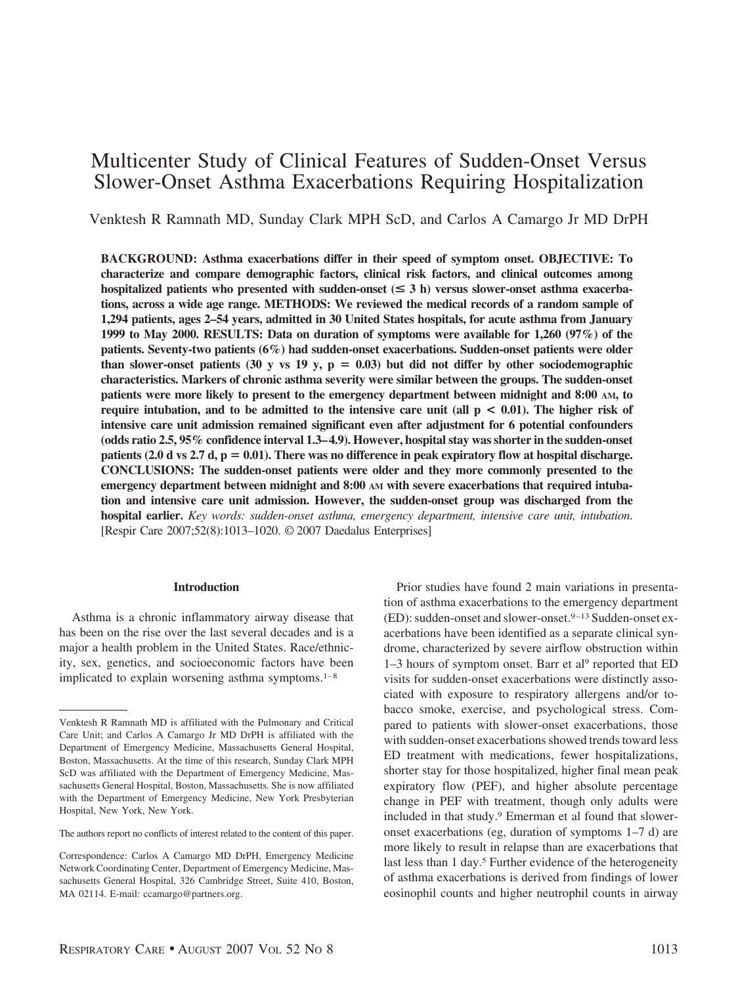# Multicenter Study of Clinical Features of Sudden-Onset Versus Slower-Onset Asthma Exacerbations Requiring Hospitalization

Venktesh R Ramnath MD, Sunday Clark MPH ScD, and Carlos A Camargo Jr MD DrPH

**BACKGROUND: Asthma exacerbations differ in their speed of symptom onset. OBJECTIVE: To characterize and compare demographic factors, clinical risk factors, and clinical outcomes among** hospitalized patients who presented with sudden-onset  $(\leq 3 \text{ h})$  versus slower-onset asthma exacerba**tions, across a wide age range. METHODS: We reviewed the medical records of a random sample of 1,294 patients, ages 2–54 years, admitted in 30 United States hospitals, for acute asthma from January 1999 to May 2000. RESULTS: Data on duration of symptoms were available for 1,260 (97%) of the patients. Seventy-two patients (6%) had sudden-onset exacerbations. Sudden-onset patients were older** than slower-onset patients (30 y vs 19 y,  $p = 0.03$ ) but did not differ by other sociodemographic **characteristics. Markers of chronic asthma severity were similar between the groups. The sudden-onset patients were more likely to present to the emergency department between midnight and 8:00 AM, to require intubation, and to be admitted to the intensive care unit (all p < 0.01). The higher risk of intensive care unit admission remained significant even after adjustment for 6 potential confounders (odds ratio 2.5, 95% confidence interval 1.3– 4.9). However, hospital stay was shorter in the sudden-onset patients (2.0 d vs 2.7 d, p = 0.01). There was no difference in peak expiratory flow at hospital discharge. CONCLUSIONS: The sudden-onset patients were older and they more commonly presented to the emergency department between midnight and 8:00 AM with severe exacerbations that required intubation and intensive care unit admission. However, the sudden-onset group was discharged from the hospital earlier.** *Key words: sudden-onset asthma, emergency department, intensive care unit, intubation*. [Respir Care 2007;52(8):1013–1020. © 2007 Daedalus Enterprises]

## **Introduction**

Asthma is a chronic inflammatory airway disease that has been on the rise over the last several decades and is a major a health problem in the United States. Race/ethnicity, sex, genetics, and socioeconomic factors have been implicated to explain worsening asthma symptoms. $1-8$ 

Prior studies have found 2 main variations in presentation of asthma exacerbations to the emergency department (ED): sudden-onset and slower-onset.<sup>9-13</sup> Sudden-onset exacerbations have been identified as a separate clinical syndrome, characterized by severe airflow obstruction within 1–3 hours of symptom onset. Barr et al9 reported that ED visits for sudden-onset exacerbations were distinctly associated with exposure to respiratory allergens and/or tobacco smoke, exercise, and psychological stress. Compared to patients with slower-onset exacerbations, those with sudden-onset exacerbations showed trends toward less ED treatment with medications, fewer hospitalizations, shorter stay for those hospitalized, higher final mean peak expiratory flow (PEF), and higher absolute percentage change in PEF with treatment, though only adults were included in that study.9 Emerman et al found that sloweronset exacerbations (eg, duration of symptoms 1–7 d) are more likely to result in relapse than are exacerbations that last less than 1 day.<sup>5</sup> Further evidence of the heterogeneity of asthma exacerbations is derived from findings of lower eosinophil counts and higher neutrophil counts in airway

Venktesh R Ramnath MD is affiliated with the Pulmonary and Critical Care Unit; and Carlos A Camargo Jr MD DrPH is affiliated with the Department of Emergency Medicine, Massachusetts General Hospital, Boston, Massachusetts. At the time of this research, Sunday Clark MPH ScD was affiliated with the Department of Emergency Medicine, Massachusetts General Hospital, Boston, Massachusetts. She is now affiliated with the Department of Emergency Medicine, New York Presbyterian Hospital, New York, New York.

The authors report no conflicts of interest related to the content of this paper.

Correspondence: Carlos A Camargo MD DrPH, Emergency Medicine Network Coordinating Center, Department of Emergency Medicine, Massachusetts General Hospital, 326 Cambridge Street, Suite 410, Boston, MA 02114. E-mail: ccamargo@partners.org.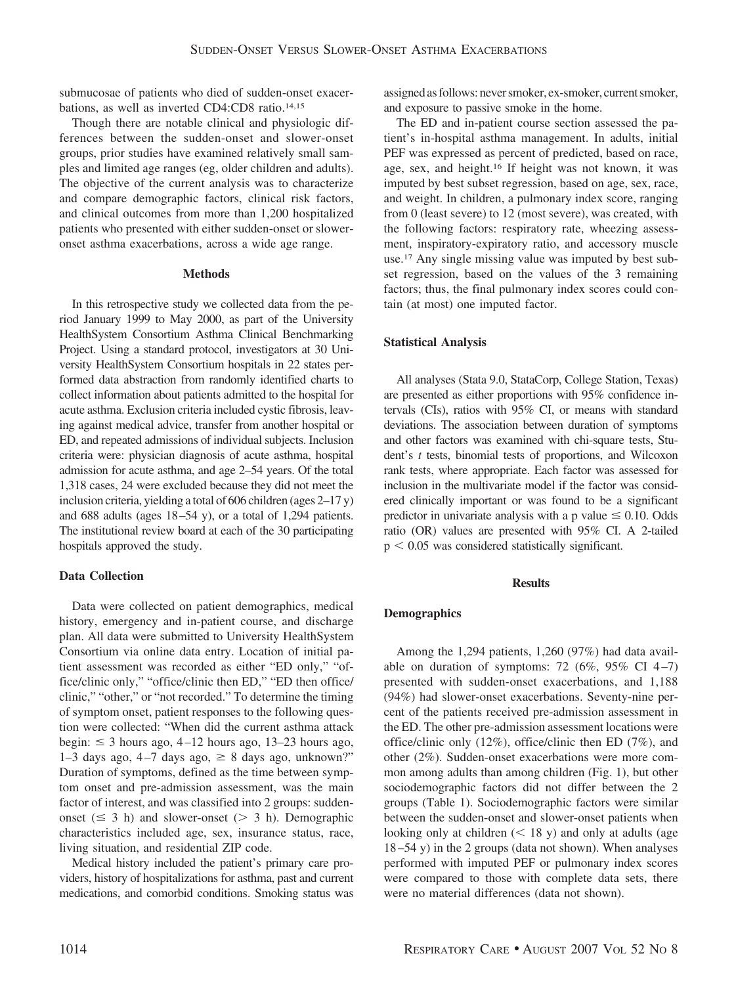submucosae of patients who died of sudden-onset exacerbations, as well as inverted CD4:CD8 ratio.14,15

Though there are notable clinical and physiologic differences between the sudden-onset and slower-onset groups, prior studies have examined relatively small samples and limited age ranges (eg, older children and adults). The objective of the current analysis was to characterize and compare demographic factors, clinical risk factors, and clinical outcomes from more than 1,200 hospitalized patients who presented with either sudden-onset or sloweronset asthma exacerbations, across a wide age range.

## **Methods**

In this retrospective study we collected data from the period January 1999 to May 2000, as part of the University HealthSystem Consortium Asthma Clinical Benchmarking Project. Using a standard protocol, investigators at 30 University HealthSystem Consortium hospitals in 22 states performed data abstraction from randomly identified charts to collect information about patients admitted to the hospital for acute asthma. Exclusion criteria included cystic fibrosis, leaving against medical advice, transfer from another hospital or ED, and repeated admissions of individual subjects. Inclusion criteria were: physician diagnosis of acute asthma, hospital admission for acute asthma, and age 2–54 years. Of the total 1,318 cases, 24 were excluded because they did not meet the inclusion criteria, yielding a total of 606 children (ages 2–17 y) and 688 adults (ages 18 –54 y), or a total of 1,294 patients. The institutional review board at each of the 30 participating hospitals approved the study.

# **Data Collection**

Data were collected on patient demographics, medical history, emergency and in-patient course, and discharge plan. All data were submitted to University HealthSystem Consortium via online data entry. Location of initial patient assessment was recorded as either "ED only," "office/clinic only," "office/clinic then ED," "ED then office/ clinic," "other," or "not recorded." To determine the timing of symptom onset, patient responses to the following question were collected: "When did the current asthma attack begin:  $\leq$  3 hours ago, 4–12 hours ago, 13–23 hours ago,  $1-3$  days ago,  $4-7$  days ago,  $\geq 8$  days ago, unknown?" Duration of symptoms, defined as the time between symptom onset and pre-admission assessment, was the main factor of interest, and was classified into 2 groups: suddenonset ( $\leq$  3 h) and slower-onset ( $>$  3 h). Demographic characteristics included age, sex, insurance status, race, living situation, and residential ZIP code.

Medical history included the patient's primary care providers, history of hospitalizations for asthma, past and current medications, and comorbid conditions. Smoking status was assigned as follows: never smoker, ex-smoker, current smoker, and exposure to passive smoke in the home.

The ED and in-patient course section assessed the patient's in-hospital asthma management. In adults, initial PEF was expressed as percent of predicted, based on race, age, sex, and height.16 If height was not known, it was imputed by best subset regression, based on age, sex, race, and weight. In children, a pulmonary index score, ranging from 0 (least severe) to 12 (most severe), was created, with the following factors: respiratory rate, wheezing assessment, inspiratory-expiratory ratio, and accessory muscle use.17 Any single missing value was imputed by best subset regression, based on the values of the 3 remaining factors; thus, the final pulmonary index scores could contain (at most) one imputed factor.

# **Statistical Analysis**

All analyses (Stata 9.0, StataCorp, College Station, Texas) are presented as either proportions with 95% confidence intervals (CIs), ratios with 95% CI, or means with standard deviations. The association between duration of symptoms and other factors was examined with chi-square tests, Student's *t* tests, binomial tests of proportions, and Wilcoxon rank tests, where appropriate. Each factor was assessed for inclusion in the multivariate model if the factor was considered clinically important or was found to be a significant predictor in univariate analysis with a p value  $\leq 0.10$ . Odds ratio (OR) values are presented with 95% CI. A 2-tailed  $p < 0.05$  was considered statistically significant.

## **Results**

# **Demographics**

Among the 1,294 patients, 1,260 (97%) had data available on duration of symptoms: 72 (6%, 95% CI 4-7) presented with sudden-onset exacerbations, and 1,188 (94%) had slower-onset exacerbations. Seventy-nine percent of the patients received pre-admission assessment in the ED. The other pre-admission assessment locations were office/clinic only (12%), office/clinic then ED (7%), and other (2%). Sudden-onset exacerbations were more common among adults than among children (Fig. 1), but other sociodemographic factors did not differ between the 2 groups (Table 1). Sociodemographic factors were similar between the sudden-onset and slower-onset patients when looking only at children  $(< 18$  y) and only at adults (age 18 –54 y) in the 2 groups (data not shown). When analyses performed with imputed PEF or pulmonary index scores were compared to those with complete data sets, there were no material differences (data not shown).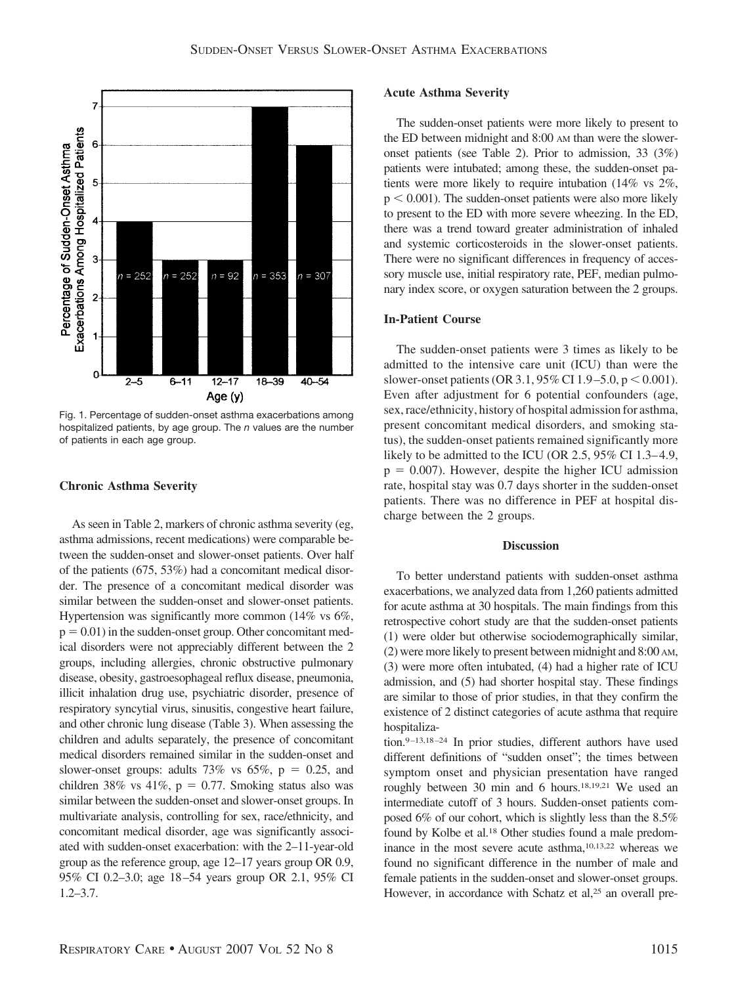

Fig. 1. Percentage of sudden-onset asthma exacerbations among hospitalized patients, by age group. The *n* values are the number of patients in each age group.

## **Chronic Asthma Severity**

As seen in Table 2, markers of chronic asthma severity (eg, asthma admissions, recent medications) were comparable between the sudden-onset and slower-onset patients. Over half of the patients (675, 53%) had a concomitant medical disorder. The presence of a concomitant medical disorder was similar between the sudden-onset and slower-onset patients. Hypertension was significantly more common (14% vs 6%,  $p = 0.01$ ) in the sudden-onset group. Other concomitant medical disorders were not appreciably different between the 2 groups, including allergies, chronic obstructive pulmonary disease, obesity, gastroesophageal reflux disease, pneumonia, illicit inhalation drug use, psychiatric disorder, presence of respiratory syncytial virus, sinusitis, congestive heart failure, and other chronic lung disease (Table 3). When assessing the children and adults separately, the presence of concomitant medical disorders remained similar in the sudden-onset and slower-onset groups: adults 73% vs 65%,  $p = 0.25$ , and children 38% vs 41%,  $p = 0.77$ . Smoking status also was similar between the sudden-onset and slower-onset groups. In multivariate analysis, controlling for sex, race/ethnicity, and concomitant medical disorder, age was significantly associated with sudden-onset exacerbation: with the 2–11-year-old group as the reference group, age 12–17 years group OR 0.9, 95% CI 0.2–3.0; age 18 –54 years group OR 2.1, 95% CI 1.2–3.7.

## **Acute Asthma Severity**

The sudden-onset patients were more likely to present to the ED between midnight and 8:00 AM than were the sloweronset patients (see Table 2). Prior to admission, 33 (3%) patients were intubated; among these, the sudden-onset patients were more likely to require intubation (14% vs 2%,  $p < 0.001$ ). The sudden-onset patients were also more likely to present to the ED with more severe wheezing. In the ED, there was a trend toward greater administration of inhaled and systemic corticosteroids in the slower-onset patients. There were no significant differences in frequency of accessory muscle use, initial respiratory rate, PEF, median pulmonary index score, or oxygen saturation between the 2 groups.

## **In-Patient Course**

The sudden-onset patients were 3 times as likely to be admitted to the intensive care unit (ICU) than were the slower-onset patients (OR 3.1, 95% CI 1.9–5.0,  $p < 0.001$ ). Even after adjustment for 6 potential confounders (age, sex, race/ethnicity, history of hospital admission for asthma, present concomitant medical disorders, and smoking status), the sudden-onset patients remained significantly more likely to be admitted to the ICU (OR 2.5, 95% CI 1.3–4.9,  $p = 0.007$ ). However, despite the higher ICU admission rate, hospital stay was 0.7 days shorter in the sudden-onset patients. There was no difference in PEF at hospital discharge between the 2 groups.

## **Discussion**

To better understand patients with sudden-onset asthma exacerbations, we analyzed data from 1,260 patients admitted for acute asthma at 30 hospitals. The main findings from this retrospective cohort study are that the sudden-onset patients (1) were older but otherwise sociodemographically similar, (2) were more likely to present between midnight and 8:00 AM, (3) were more often intubated, (4) had a higher rate of ICU admission, and (5) had shorter hospital stay. These findings are similar to those of prior studies, in that they confirm the existence of 2 distinct categories of acute asthma that require hospitaliza-

tion.<sup>9-13,18-24</sup> In prior studies, different authors have used different definitions of "sudden onset"; the times between symptom onset and physician presentation have ranged roughly between 30 min and 6 hours.18,19,21 We used an intermediate cutoff of 3 hours. Sudden-onset patients composed 6% of our cohort, which is slightly less than the 8.5% found by Kolbe et al.18 Other studies found a male predominance in the most severe acute asthma,10,13,22 whereas we found no significant difference in the number of male and female patients in the sudden-onset and slower-onset groups. However, in accordance with Schatz et al,<sup>25</sup> an overall pre-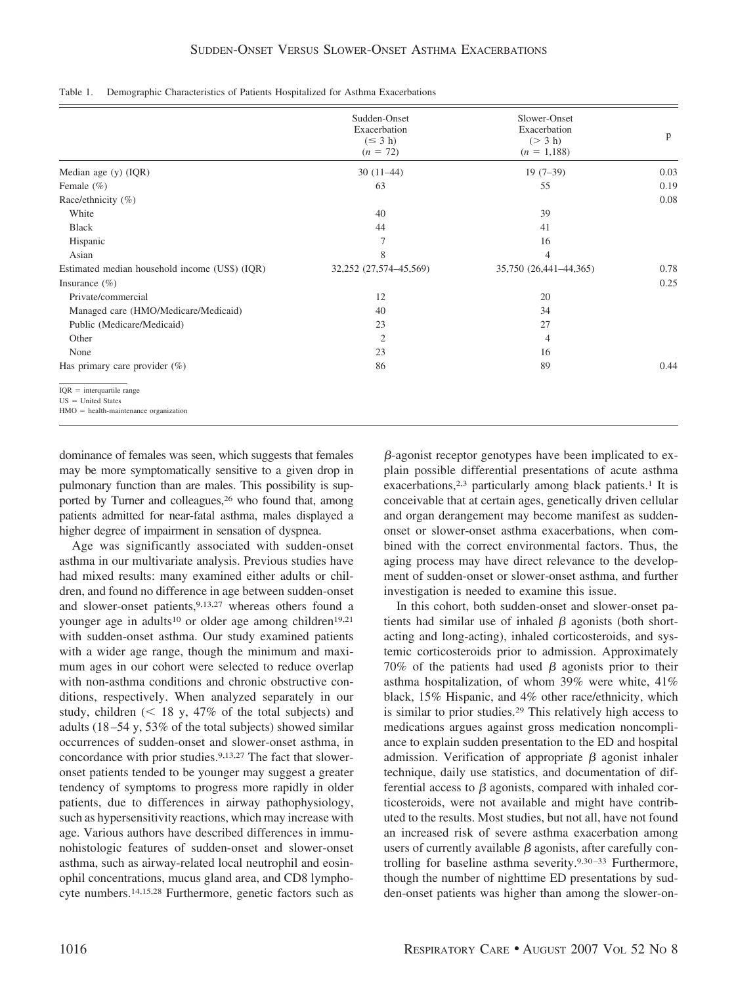| Table 1. |  |  |  |  |  | Demographic Characteristics of Patients Hospitalized for Asthma Exacerbations |  |
|----------|--|--|--|--|--|-------------------------------------------------------------------------------|--|
|----------|--|--|--|--|--|-------------------------------------------------------------------------------|--|

|                                                                                                | Sudden-Onset<br>Exacerbation<br>$(\leq 3 h)$<br>$(n = 72)$ | Slower-Onset<br>Exacerbation<br>(> 3 h)<br>$(n = 1,188)$ | $\mathbf{p}$ |
|------------------------------------------------------------------------------------------------|------------------------------------------------------------|----------------------------------------------------------|--------------|
| Median age (y) (IQR)                                                                           | $30(11-44)$                                                | $19(7-39)$                                               | 0.03         |
| Female $(\% )$                                                                                 | 63                                                         | 55                                                       | 0.19         |
| Race/ethnicity (%)                                                                             |                                                            |                                                          | 0.08         |
| White                                                                                          | 40                                                         | 39                                                       |              |
| <b>Black</b>                                                                                   | 44                                                         | 41                                                       |              |
| Hispanic                                                                                       | 7                                                          | 16                                                       |              |
| Asian                                                                                          | 8                                                          | 4                                                        |              |
| Estimated median household income (US\$) (IQR)                                                 | 32,252 (27,574-45,569)                                     | 35,750 (26,441-44,365)                                   | 0.78         |
| Insurance $(\% )$                                                                              |                                                            |                                                          | 0.25         |
| Private/commercial                                                                             | 12                                                         | 20                                                       |              |
| Managed care (HMO/Medicare/Medicaid)                                                           | 40                                                         | 34                                                       |              |
| Public (Medicare/Medicaid)                                                                     | 23                                                         | 27                                                       |              |
| Other                                                                                          | $\overline{2}$                                             | 4                                                        |              |
| None                                                                                           | 23                                                         | 16                                                       |              |
| Has primary care provider $(\%)$                                                               | 86                                                         | 89                                                       | 0.44         |
| $IQR = interquartile range$<br>$US = United States$<br>$HMO =$ health-maintenance organization |                                                            |                                                          |              |

dominance of females was seen, which suggests that females may be more symptomatically sensitive to a given drop in pulmonary function than are males. This possibility is supported by Turner and colleagues,<sup>26</sup> who found that, among patients admitted for near-fatal asthma, males displayed a higher degree of impairment in sensation of dyspnea.

Age was significantly associated with sudden-onset asthma in our multivariate analysis. Previous studies have had mixed results: many examined either adults or children, and found no difference in age between sudden-onset and slower-onset patients, 9,13,27 whereas others found a younger age in adults<sup>10</sup> or older age among children<sup>19,21</sup> with sudden-onset asthma. Our study examined patients with a wider age range, though the minimum and maximum ages in our cohort were selected to reduce overlap with non-asthma conditions and chronic obstructive conditions, respectively. When analyzed separately in our study, children  $\approx$  18 y, 47% of the total subjects) and adults (18 –54 y, 53% of the total subjects) showed similar occurrences of sudden-onset and slower-onset asthma, in concordance with prior studies.<sup>9,13,27</sup> The fact that sloweronset patients tended to be younger may suggest a greater tendency of symptoms to progress more rapidly in older patients, due to differences in airway pathophysiology, such as hypersensitivity reactions, which may increase with age. Various authors have described differences in immunohistologic features of sudden-onset and slower-onset asthma, such as airway-related local neutrophil and eosinophil concentrations, mucus gland area, and CD8 lymphocyte numbers.14,15,28 Furthermore, genetic factors such as

 $\beta$ -agonist receptor genotypes have been implicated to explain possible differential presentations of acute asthma exacerbations,<sup>2,3</sup> particularly among black patients.<sup>1</sup> It is conceivable that at certain ages, genetically driven cellular and organ derangement may become manifest as suddenonset or slower-onset asthma exacerbations, when combined with the correct environmental factors. Thus, the aging process may have direct relevance to the development of sudden-onset or slower-onset asthma, and further investigation is needed to examine this issue.

In this cohort, both sudden-onset and slower-onset patients had similar use of inhaled  $\beta$  agonists (both shortacting and long-acting), inhaled corticosteroids, and systemic corticosteroids prior to admission. Approximately 70% of the patients had used  $\beta$  agonists prior to their asthma hospitalization, of whom 39% were white, 41% black, 15% Hispanic, and 4% other race/ethnicity, which is similar to prior studies.29 This relatively high access to medications argues against gross medication noncompliance to explain sudden presentation to the ED and hospital admission. Verification of appropriate  $\beta$  agonist inhaler technique, daily use statistics, and documentation of differential access to  $\beta$  agonists, compared with inhaled corticosteroids, were not available and might have contributed to the results. Most studies, but not all, have not found an increased risk of severe asthma exacerbation among users of currently available  $\beta$  agonists, after carefully controlling for baseline asthma severity.9,30 –33 Furthermore, though the number of nighttime ED presentations by sudden-onset patients was higher than among the slower-on-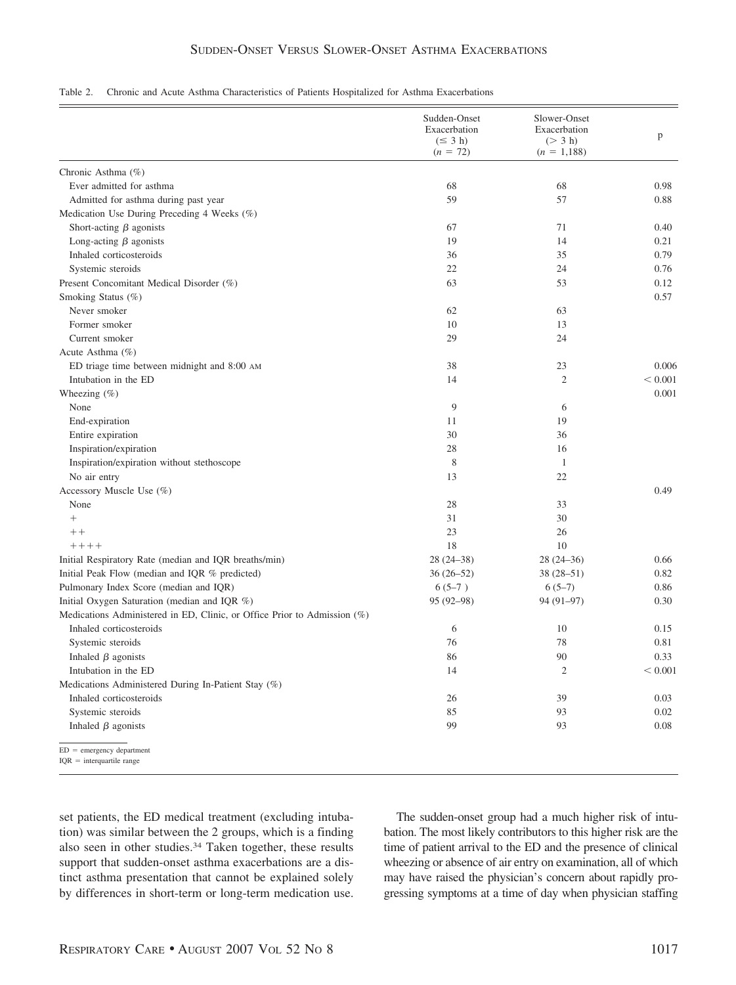# SUDDEN-ONSET VERSUS SLOWER-ONSET ASTHMA EXACERBATIONS

#### Table 2. Chronic and Acute Asthma Characteristics of Patients Hospitalized for Asthma Exacerbations

|                                                                          | Sudden-Onset<br>Exacerbation<br>$(\leq 3 h)$<br>$(n = 72)$ | Slower-Onset<br>Exacerbation<br>(> 3 h)<br>$(n = 1,188)$ | p       |
|--------------------------------------------------------------------------|------------------------------------------------------------|----------------------------------------------------------|---------|
| Chronic Asthma (%)                                                       |                                                            |                                                          |         |
| Ever admitted for asthma                                                 | 68                                                         | 68                                                       | 0.98    |
| Admitted for asthma during past year                                     | 59                                                         | 57                                                       | 0.88    |
| Medication Use During Preceding 4 Weeks (%)                              |                                                            |                                                          |         |
| Short-acting $\beta$ agonists                                            | 67                                                         | 71                                                       | 0.40    |
| Long-acting $\beta$ agonists                                             | 19                                                         | 14                                                       | 0.21    |
| Inhaled corticosteroids                                                  | 36                                                         | 35                                                       | 0.79    |
| Systemic steroids                                                        | 22                                                         | 24                                                       | 0.76    |
| Present Concomitant Medical Disorder (%)                                 | 63                                                         | 53                                                       | 0.12    |
| Smoking Status (%)                                                       |                                                            |                                                          | 0.57    |
| Never smoker                                                             | 62                                                         | 63                                                       |         |
| Former smoker                                                            | 10                                                         | 13                                                       |         |
| Current smoker                                                           | 29                                                         | 24                                                       |         |
| Acute Asthma (%)                                                         |                                                            |                                                          |         |
| ED triage time between midnight and 8:00 AM                              | 38                                                         | 23                                                       | 0.006   |
| Intubation in the ED                                                     | 14                                                         | $\mathfrak{2}$                                           | < 0.001 |
| Wheezing $(\%)$                                                          |                                                            |                                                          | 0.001   |
| None                                                                     | 9                                                          | 6                                                        |         |
| End-expiration                                                           | 11                                                         | 19                                                       |         |
| Entire expiration                                                        | 30                                                         | 36                                                       |         |
| Inspiration/expiration                                                   | 28                                                         | 16                                                       |         |
| Inspiration/expiration without stethoscope                               | 8                                                          | $\mathbf{1}$                                             |         |
| No air entry                                                             | 13                                                         | 22                                                       |         |
| Accessory Muscle Use (%)                                                 |                                                            |                                                          | 0.49    |
| None                                                                     | 28                                                         | 33                                                       |         |
| $^{+}$                                                                   | 31                                                         | 30                                                       |         |
| $++$                                                                     | 23                                                         | 26                                                       |         |
| $+++++$                                                                  | 18                                                         | 10                                                       |         |
| Initial Respiratory Rate (median and IQR breaths/min)                    | $28(24-38)$                                                | $28(24-36)$                                              | 0.66    |
| Initial Peak Flow (median and IQR % predicted)                           | $36(26-52)$                                                | $38(28 - 51)$                                            | 0.82    |
| Pulmonary Index Score (median and IQR)                                   | $6(5-7)$                                                   | $6(5-7)$                                                 | 0.86    |
| Initial Oxygen Saturation (median and IQR %)                             | 95 (92-98)                                                 | $94(91-97)$                                              | 0.30    |
| Medications Administered in ED, Clinic, or Office Prior to Admission (%) |                                                            |                                                          |         |
| Inhaled corticosteroids                                                  | 6                                                          | 10                                                       | 0.15    |
| Systemic steroids                                                        | 76                                                         | 78                                                       | 0.81    |
| Inhaled $\beta$ agonists                                                 | 86                                                         | 90                                                       | 0.33    |
| Intubation in the ED                                                     | 14                                                         | 2                                                        | < 0.001 |
| Medications Administered During In-Patient Stay (%)                      |                                                            |                                                          |         |
| Inhaled corticosteroids                                                  | 26                                                         | 39                                                       | 0.03    |
| Systemic steroids                                                        | 85                                                         | 93                                                       | 0.02    |
| Inhaled $\beta$ agonists                                                 | 99                                                         | 93                                                       | 0.08    |
| $ED = emergency department$<br>$IQR = interquartile range$               |                                                            |                                                          |         |

set patients, the ED medical treatment (excluding intubation) was similar between the 2 groups, which is a finding also seen in other studies.34 Taken together, these results support that sudden-onset asthma exacerbations are a distinct asthma presentation that cannot be explained solely by differences in short-term or long-term medication use.

The sudden-onset group had a much higher risk of intubation. The most likely contributors to this higher risk are the time of patient arrival to the ED and the presence of clinical wheezing or absence of air entry on examination, all of which may have raised the physician's concern about rapidly progressing symptoms at a time of day when physician staffing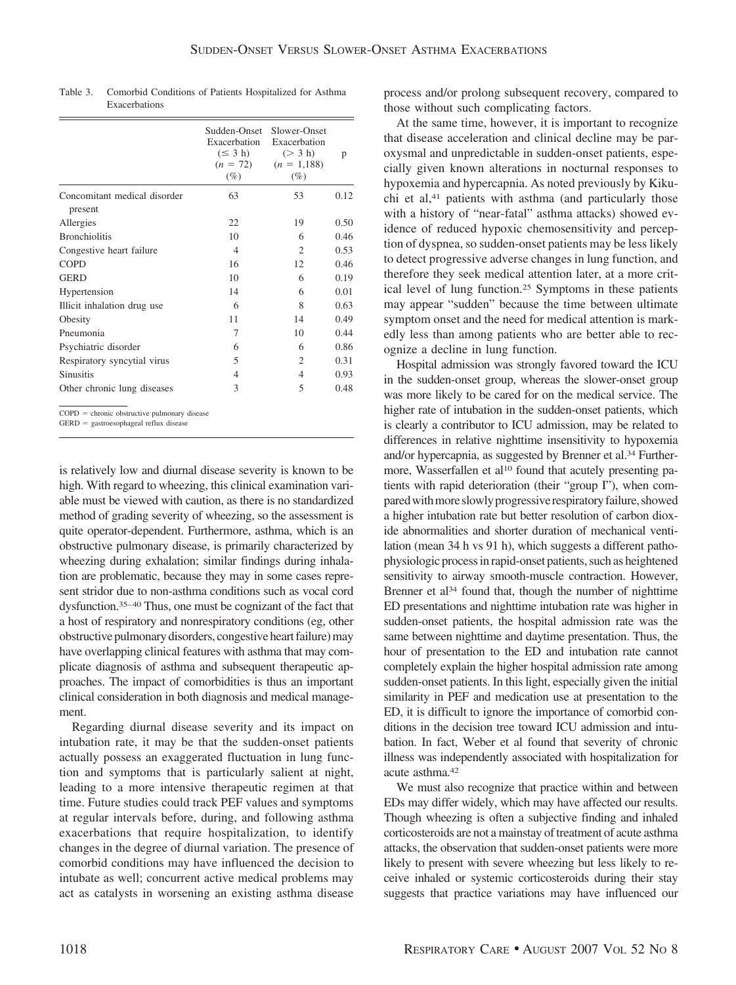|                                                | Sudden-Onset<br>Exacerbation<br>$(\leq 3 h)$<br>$(n = 72)$<br>$(\%)$ | Slower-Onset<br>Exacerbation<br>(> 3 h)<br>$(n = 1,188)$<br>$(\%)$ | p    |
|------------------------------------------------|----------------------------------------------------------------------|--------------------------------------------------------------------|------|
| Concomitant medical disorder<br>present        | 63                                                                   | 53                                                                 | 0.12 |
| Allergies                                      | 22                                                                   | 19                                                                 | 0.50 |
| <b>Bronchiolitis</b>                           | 10                                                                   | 6                                                                  | 0.46 |
| Congestive heart failure                       | $\overline{4}$                                                       | 2                                                                  | 0.53 |
| <b>COPD</b>                                    | 16                                                                   | 12                                                                 | 0.46 |
| <b>GERD</b>                                    | 10                                                                   | 6                                                                  | 0.19 |
| Hypertension                                   | 14                                                                   | 6                                                                  | 0.01 |
| Illicit inhalation drug use                    | 6                                                                    | 8                                                                  | 0.63 |
| Obesity                                        | 11                                                                   | 14                                                                 | 0.49 |
| Pneumonia                                      | 7                                                                    | 10                                                                 | 0.44 |
| Psychiatric disorder                           | 6                                                                    | 6                                                                  | 0.86 |
| Respiratory syncytial virus                    | 5                                                                    | $\overline{c}$                                                     | 0.31 |
| <b>Sinusitis</b>                               | 4                                                                    | 4                                                                  | 0.93 |
| Other chronic lung diseases                    | 3                                                                    | 5                                                                  | 0.48 |
| $COPD =$ chronic obstructive pulmonary disease |                                                                      |                                                                    |      |

Table 3. Comorbid Conditions of Patients Hospitalized for Asthma Exacerbations

GERD = gastroesophageal reflux disease

is relatively low and diurnal disease severity is known to be

high. With regard to wheezing, this clinical examination variable must be viewed with caution, as there is no standardized method of grading severity of wheezing, so the assessment is quite operator-dependent. Furthermore, asthma, which is an obstructive pulmonary disease, is primarily characterized by wheezing during exhalation; similar findings during inhalation are problematic, because they may in some cases represent stridor due to non-asthma conditions such as vocal cord dysfunction.<sup>35-40</sup> Thus, one must be cognizant of the fact that a host of respiratory and nonrespiratory conditions (eg, other obstructive pulmonary disorders, congestive heart failure) may have overlapping clinical features with asthma that may complicate diagnosis of asthma and subsequent therapeutic approaches. The impact of comorbidities is thus an important clinical consideration in both diagnosis and medical management.

Regarding diurnal disease severity and its impact on intubation rate, it may be that the sudden-onset patients actually possess an exaggerated fluctuation in lung function and symptoms that is particularly salient at night, leading to a more intensive therapeutic regimen at that time. Future studies could track PEF values and symptoms at regular intervals before, during, and following asthma exacerbations that require hospitalization, to identify changes in the degree of diurnal variation. The presence of comorbid conditions may have influenced the decision to intubate as well; concurrent active medical problems may act as catalysts in worsening an existing asthma disease process and/or prolong subsequent recovery, compared to those without such complicating factors.

At the same time, however, it is important to recognize that disease acceleration and clinical decline may be paroxysmal and unpredictable in sudden-onset patients, especially given known alterations in nocturnal responses to hypoxemia and hypercapnia. As noted previously by Kikuchi et al,<sup>41</sup> patients with asthma (and particularly those with a history of "near-fatal" asthma attacks) showed evidence of reduced hypoxic chemosensitivity and perception of dyspnea, so sudden-onset patients may be less likely to detect progressive adverse changes in lung function, and therefore they seek medical attention later, at a more critical level of lung function.25 Symptoms in these patients may appear "sudden" because the time between ultimate symptom onset and the need for medical attention is markedly less than among patients who are better able to recognize a decline in lung function.

Hospital admission was strongly favored toward the ICU in the sudden-onset group, whereas the slower-onset group was more likely to be cared for on the medical service. The higher rate of intubation in the sudden-onset patients, which is clearly a contributor to ICU admission, may be related to differences in relative nighttime insensitivity to hypoxemia and/or hypercapnia, as suggested by Brenner et al.34 Furthermore, Wasserfallen et al<sup>10</sup> found that acutely presenting patients with rapid deterioration (their "group I"), when compared with more slowly progressive respiratory failure, showed a higher intubation rate but better resolution of carbon dioxide abnormalities and shorter duration of mechanical ventilation (mean 34 h vs 91 h), which suggests a different pathophysiologic process in rapid-onset patients, such as heightened sensitivity to airway smooth-muscle contraction. However, Brenner et al<sup>34</sup> found that, though the number of nighttime ED presentations and nighttime intubation rate was higher in sudden-onset patients, the hospital admission rate was the same between nighttime and daytime presentation. Thus, the hour of presentation to the ED and intubation rate cannot completely explain the higher hospital admission rate among sudden-onset patients. In this light, especially given the initial similarity in PEF and medication use at presentation to the ED, it is difficult to ignore the importance of comorbid conditions in the decision tree toward ICU admission and intubation. In fact, Weber et al found that severity of chronic illness was independently associated with hospitalization for acute asthma.42

We must also recognize that practice within and between EDs may differ widely, which may have affected our results. Though wheezing is often a subjective finding and inhaled corticosteroids are not a mainstay of treatment of acute asthma attacks, the observation that sudden-onset patients were more likely to present with severe wheezing but less likely to receive inhaled or systemic corticosteroids during their stay suggests that practice variations may have influenced our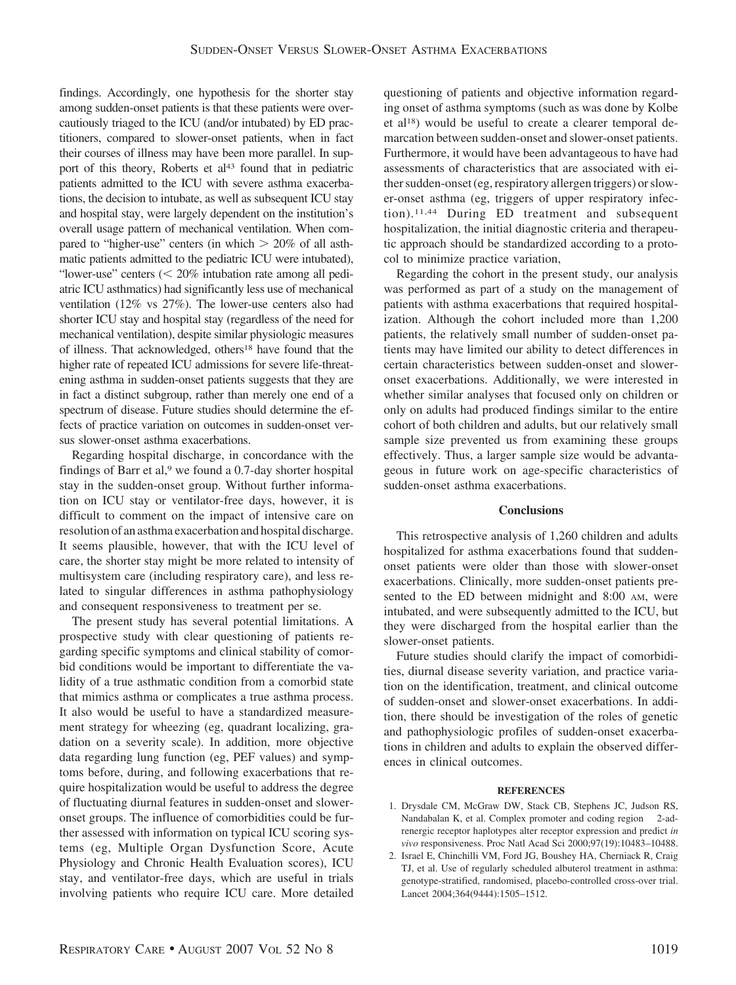findings. Accordingly, one hypothesis for the shorter stay among sudden-onset patients is that these patients were overcautiously triaged to the ICU (and/or intubated) by ED practitioners, compared to slower-onset patients, when in fact their courses of illness may have been more parallel. In support of this theory, Roberts et al<sup>43</sup> found that in pediatric patients admitted to the ICU with severe asthma exacerbations, the decision to intubate, as well as subsequent ICU stay and hospital stay, were largely dependent on the institution's overall usage pattern of mechanical ventilation. When compared to "higher-use" centers (in which  $> 20\%$  of all asthmatic patients admitted to the pediatric ICU were intubated), "lower-use" centers  $\ll 20\%$  intubation rate among all pediatric ICU asthmatics) had significantly less use of mechanical ventilation (12% vs 27%). The lower-use centers also had shorter ICU stay and hospital stay (regardless of the need for mechanical ventilation), despite similar physiologic measures of illness. That acknowledged, others18 have found that the higher rate of repeated ICU admissions for severe life-threatening asthma in sudden-onset patients suggests that they are in fact a distinct subgroup, rather than merely one end of a spectrum of disease. Future studies should determine the effects of practice variation on outcomes in sudden-onset versus slower-onset asthma exacerbations.

Regarding hospital discharge, in concordance with the findings of Barr et al, $9$  we found a 0.7-day shorter hospital stay in the sudden-onset group. Without further information on ICU stay or ventilator-free days, however, it is difficult to comment on the impact of intensive care on resolution of an asthma exacerbation and hospital discharge. It seems plausible, however, that with the ICU level of care, the shorter stay might be more related to intensity of multisystem care (including respiratory care), and less related to singular differences in asthma pathophysiology and consequent responsiveness to treatment per se.

The present study has several potential limitations. A prospective study with clear questioning of patients regarding specific symptoms and clinical stability of comorbid conditions would be important to differentiate the validity of a true asthmatic condition from a comorbid state that mimics asthma or complicates a true asthma process. It also would be useful to have a standardized measurement strategy for wheezing (eg, quadrant localizing, gradation on a severity scale). In addition, more objective data regarding lung function (eg, PEF values) and symptoms before, during, and following exacerbations that require hospitalization would be useful to address the degree of fluctuating diurnal features in sudden-onset and sloweronset groups. The influence of comorbidities could be further assessed with information on typical ICU scoring systems (eg, Multiple Organ Dysfunction Score, Acute Physiology and Chronic Health Evaluation scores), ICU stay, and ventilator-free days, which are useful in trials involving patients who require ICU care. More detailed questioning of patients and objective information regarding onset of asthma symptoms (such as was done by Kolbe et al18) would be useful to create a clearer temporal demarcation between sudden-onset and slower-onset patients. Furthermore, it would have been advantageous to have had assessments of characteristics that are associated with either sudden-onset (eg, respiratory allergen triggers) or slower-onset asthma (eg, triggers of upper respiratory infection).11,44 During ED treatment and subsequent hospitalization, the initial diagnostic criteria and therapeutic approach should be standardized according to a protocol to minimize practice variation,

Regarding the cohort in the present study, our analysis was performed as part of a study on the management of patients with asthma exacerbations that required hospitalization. Although the cohort included more than 1,200 patients, the relatively small number of sudden-onset patients may have limited our ability to detect differences in certain characteristics between sudden-onset and sloweronset exacerbations. Additionally, we were interested in whether similar analyses that focused only on children or only on adults had produced findings similar to the entire cohort of both children and adults, but our relatively small sample size prevented us from examining these groups effectively. Thus, a larger sample size would be advantageous in future work on age-specific characteristics of sudden-onset asthma exacerbations.

#### **Conclusions**

This retrospective analysis of 1,260 children and adults hospitalized for asthma exacerbations found that suddenonset patients were older than those with slower-onset exacerbations. Clinically, more sudden-onset patients presented to the ED between midnight and 8:00 AM, were intubated, and were subsequently admitted to the ICU, but they were discharged from the hospital earlier than the slower-onset patients.

Future studies should clarify the impact of comorbidities, diurnal disease severity variation, and practice variation on the identification, treatment, and clinical outcome of sudden-onset and slower-onset exacerbations. In addition, there should be investigation of the roles of genetic and pathophysiologic profiles of sudden-onset exacerbations in children and adults to explain the observed differences in clinical outcomes.

#### **REFERENCES**

- 1. Drysdale CM, McGraw DW, Stack CB, Stephens JC, Judson RS, Nandabalan K, et al. Complex promoter and coding region 2-adrenergic receptor haplotypes alter receptor expression and predict *in vivo* responsiveness. Proc Natl Acad Sci 2000;97(19):10483–10488.
- 2. Israel E, Chinchilli VM, Ford JG, Boushey HA, Cherniack R, Craig TJ, et al. Use of regularly scheduled albuterol treatment in asthma: genotype-stratified, randomised, placebo-controlled cross-over trial. Lancet 2004;364(9444):1505–1512.